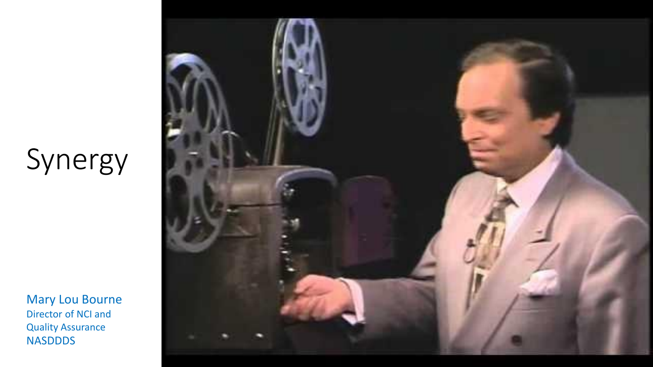## Synergy

Mary Lou Bourne Director of NCI and Quality Assurance NASDDDS

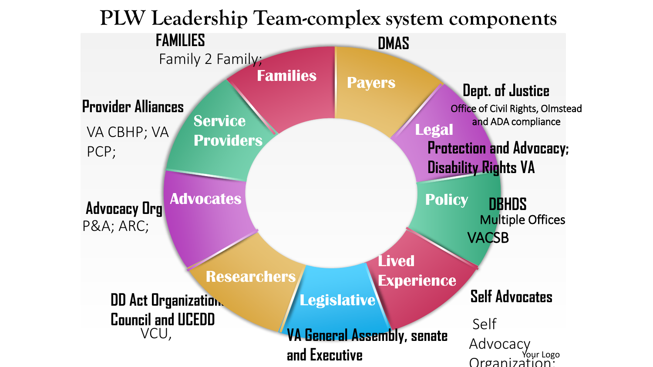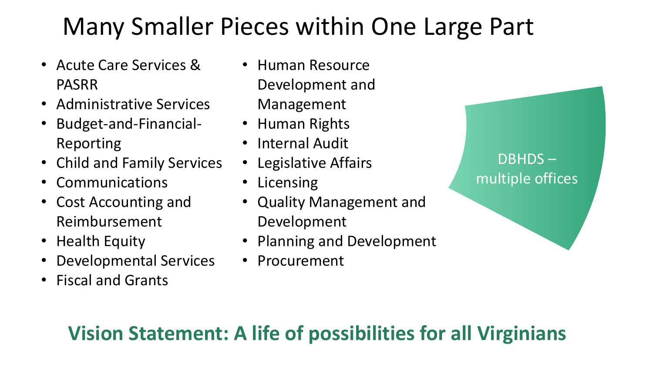#### Many Smaller Pieces within One Large Part

- Acute Care Services & PASRR
- Administrative Services
- Budget-and-Financial-Reporting
- Child and Family Services
- Communications
- Cost Accounting and Reimbursement
- Health Equity
- Developmental Services
- Fiscal and Grants
- Human Resource Development and Management
- Human Rights
- Internal Audit
- Legislative Affairs
- Licensing
- Quality Management and Development
- Planning and Development
- Procurement

#### DBHDS – multiple offices

#### **Vision Statement: A life of possibilities for all Virginians**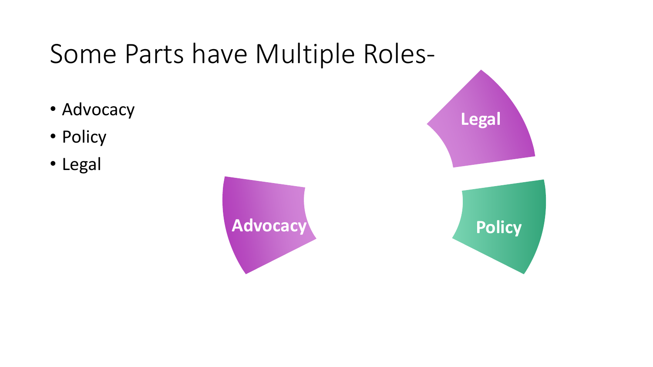### Some Parts have Multiple Roles-

- Advocacy
- Policy
- Legal

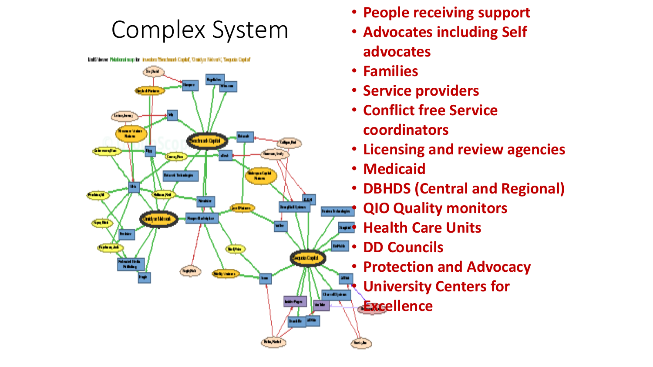#### Complex System

UnitS Verser, Petational rusp for investors Thereforenk Capital, 10 rating Network, Texposis Capital



- **People receiving support**
- **Advocates including Self advocates**
- **Families**
- **Service providers**
- **Conflict free Service coordinators**
- **Licensing and review agencies**
- **Medicaid**
- **DBHDS (Central and Regional)**
- **QIO Quality monitors**
- **Health Care Units**
- **DD Councils**
- **Protection and Advocacy**
- **University Centers for**

**Excellence**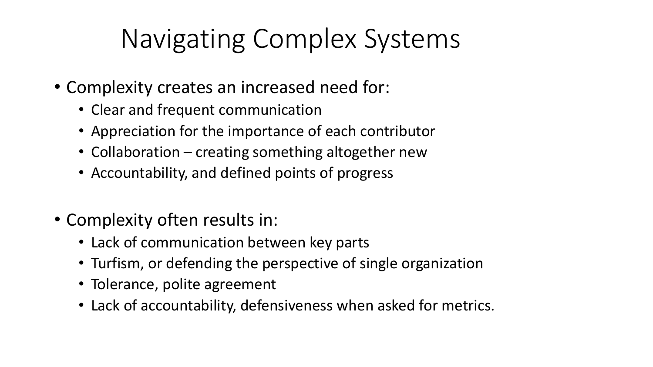## Navigating Complex Systems

- Complexity creates an increased need for:
	- Clear and frequent communication
	- Appreciation for the importance of each contributor
	- Collaboration creating something altogether new
	- Accountability, and defined points of progress
- Complexity often results in:
	- Lack of communication between key parts
	- Turfism, or defending the perspective of single organization
	- Tolerance, polite agreement
	- Lack of accountability, defensiveness when asked for metrics.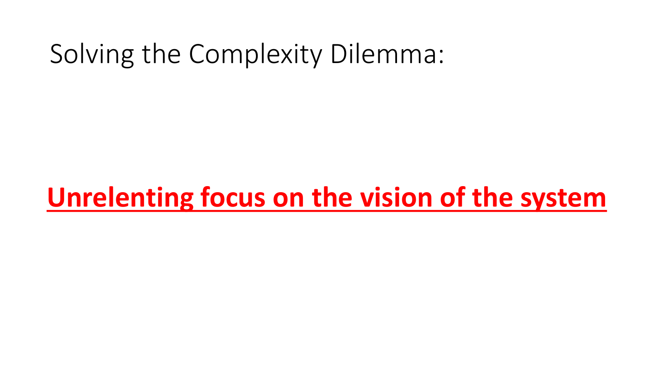### Solving the Complexity Dilemma:

### **Unrelenting focus on the vision of the system**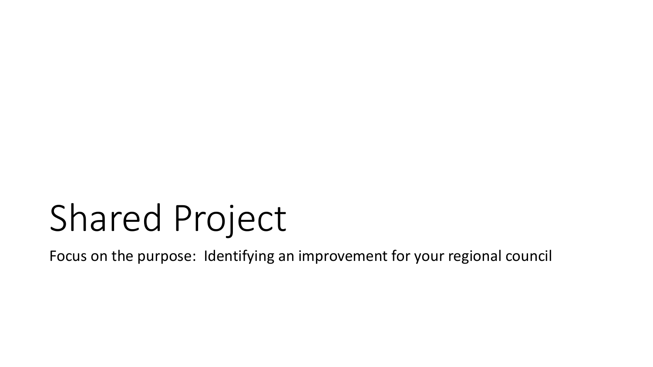# Shared Project

Focus on the purpose: Identifying an improvement for your regional council